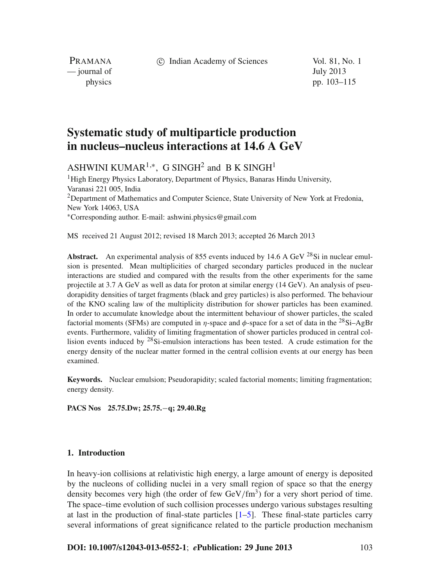c Indian Academy of Sciences Vol. 81, No. 1

PRAMANA — journal of July 2013

physics pp. 103–115

# **Systematic study of multiparticle production in nucleus–nucleus interactions at 14.6 A GeV**

ASHWINI KUMAR<sup>1,\*</sup>, G SINGH<sup>2</sup> and B K SINGH<sup>1</sup>

<sup>1</sup>High Energy Physics Laboratory, Department of Physics, Banaras Hindu University, Varanasi 221 005, India <sup>2</sup>Department of Mathematics and Computer Science, State University of New York at Fredonia, New York 14063, USA <sup>∗</sup>Corresponding author. E-mail: ashwini.physics@gmail.com

MS received 21 August 2012; revised 18 March 2013; accepted 26 March 2013

**Abstract.** An experimental analysis of 855 events induced by 14.6 A GeV <sup>28</sup>Si in nuclear emulsion is presented. Mean multiplicities of charged secondary particles produced in the nuclear interactions are studied and compared with the results from the other experiments for the same projectile at 3.7 A GeV as well as data for proton at similar energy (14 GeV). An analysis of pseudorapidity densities of target fragments (black and grey particles) is also performed. The behaviour of the KNO scaling law of the multiplicity distribution for shower particles has been examined. In order to accumulate knowledge about the intermittent behaviour of shower particles, the scaled factorial moments (SFMs) are computed in  $\eta$ -space and  $\phi$ -space for a set of data in the <sup>28</sup>Si–AgBr events. Furthermore, validity of limiting fragmentation of shower particles produced in central collision events induced by  $28$ Si-emulsion interactions has been tested. A crude estimation for the energy density of the nuclear matter formed in the central collision events at our energy has been examined.

**Keywords.** Nuclear emulsion; Pseudorapidity; scaled factorial moments; limiting fragmentation; energy density.

**PACS Nos 25.75.Dw; 25.75.**−**q; 29.40.Rg**

## **1. Introduction**

In heavy-ion collisions at relativistic high energy, a large amount of energy is deposited by the nucleons of colliding nuclei in a very small region of space so that the energy density becomes very high (the order of few  $GeV/fm<sup>3</sup>$ ) for a very short period of time. The space–time evolution of such collision processes undergo various substages resulting at last in the production of final-state particles [\[1](#page-11-0)[–5](#page-11-1)]. These final-state particles carry several informations of great significance related to the particle production mechanism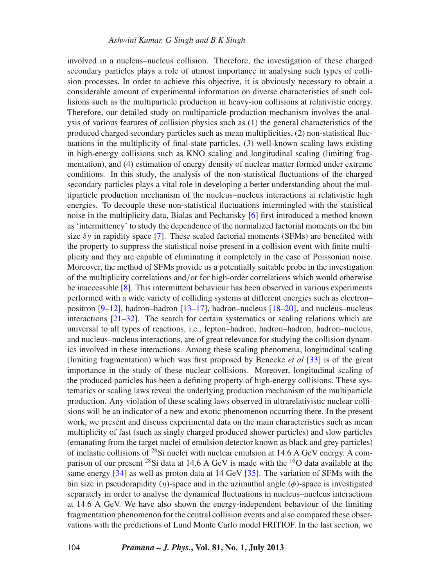involved in a nucleus–nucleus collision. Therefore, the investigation of these charged secondary particles plays a role of utmost importance in analysing such types of collision processes. In order to achieve this objective, it is obviously necessary to obtain a considerable amount of experimental information on diverse characteristics of such collisions such as the multiparticle production in heavy-ion collisions at relativistic energy. Therefore, our detailed study on multiparticle production mechanism involves the analysis of various features of collision physics such as (1) the general characteristics of the produced charged secondary particles such as mean multiplicities, (2) non-statistical fluctuations in the multiplicity of final-state particles, (3) well-known scaling laws existing in high-energy collisions such as KNO scaling and longitudinal scaling (limiting fragmentation), and (4) estimation of energy density of nuclear matter formed under extreme conditions. In this study, the analysis of the non-statistical fluctuations of the charged secondary particles plays a vital role in developing a better understanding about the multiparticle production mechanism of the nucleus–nucleus interactions at relativistic high energies. To decouple these non-statistical fluctuations intermingled with the statistical noise in the multiplicity data, Bialas and Pechansky [\[6](#page-11-2)] first introduced a method known as 'intermittency' to study the dependence of the normalized factorial moments on the bin size  $\delta y$  in rapidity space [\[7\]](#page-11-3). These scaled factorial moments (SFMs) are benefited with the property to suppress the statistical noise present in a collision event with finite multiplicity and they are capable of eliminating it completely in the case of Poissonian noise. Moreover, the method of SFMs provide us a potentially suitable probe in the investigation of the multiplicity correlations and/or for high-order correlations which would otherwise be inaccessible [\[8](#page-11-4)]. This intermittent behaviour has been observed in various experiments performed with a wide variety of colliding systems at different energies such as electron– positron  $[9-12]$  $[9-12]$ , hadron–hadron  $[13-17]$  $[13-17]$ , hadron–nucleus  $[18-20]$  $[18-20]$ , and nucleus–nucleus interactions [\[21](#page-11-11)[–32](#page-11-12)]. The search for certain systematics or scaling relations which are universal to all types of reactions, i.e., lepton–hadron, hadron–hadron, hadron–nucleus, and nucleus–nucleus interactions, are of great relevance for studying the collision dynamics involved in these interactions. Among these scaling phenomena, longitudinal scaling (limiting fragmentation) which was first proposed by Benecke *et al* [\[33\]](#page-11-13) is of the great importance in the study of these nuclear collisions. Moreover, longitudinal scaling of the produced particles has been a defining property of high-energy collisions. These systematics or scaling laws reveal the underlying production mechanism of the multiparticle production. Any violation of these scaling laws observed in ultrarelativistic nuclear collisions will be an indicator of a new and exotic phenomenon occurring there. In the present work, we present and discuss experimental data on the main characteristics such as mean multiplicity of fast (such as singly charged produced shower particles) and slow particles (emanating from the target nuclei of emulsion detector known as black and grey particles) of inelastic collisions of  $^{28}$ Si nuclei with nuclear emulsion at 14.6 A GeV energy. A comparison of our present <sup>28</sup>Si data at 14.6 A GeV is made with the <sup>16</sup>O data available at the same energy [\[34\]](#page-11-14) as well as proton data at 14 GeV [\[35\]](#page-11-15). The variation of SFMs with the bin size in pseudorapidity  $(\eta)$ -space and in the azimuthal angle  $(\phi)$ -space is investigated separately in order to analyse the dynamical fluctuations in nucleus–nucleus interactions at 14.6 A GeV. We have also shown the energy-independent behaviour of the limiting fragmentation phenomenon for the central collision events and also compared these observations with the predictions of Lund Monte Carlo model FRITIOF. In the last section, we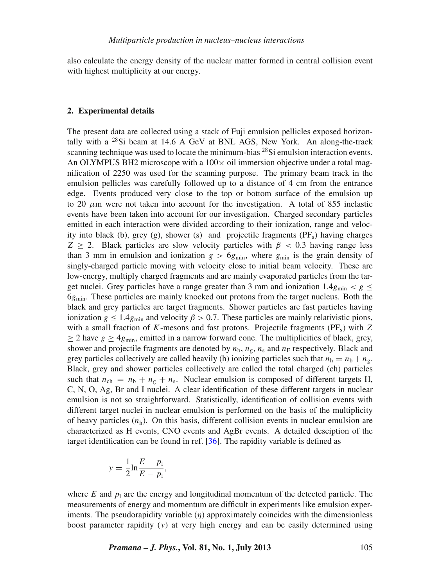also calculate the energy density of the nuclear matter formed in central collision event with highest multiplicity at our energy.

### **2. Experimental details**

The present data are collected using a stack of Fuji emulsion pellicles exposed horizontally with a  $^{28}$ Si beam at 14.6 A GeV at BNL AGS, New York. An along-the-track scanning technique was used to locate the minimum-bias  $^{28}$ Si emulsion interaction events. An OLYMPUS BH2 microscope with a  $100 \times$  oil immersion objective under a total magnification of 2250 was used for the scanning purpose. The primary beam track in the emulsion pellicles was carefully followed up to a distance of 4 cm from the entrance edge. Events produced very close to the top or bottom surface of the emulsion up to 20  $\mu$ m were not taken into account for the investigation. A total of 855 inelastic events have been taken into account for our investigation. Charged secondary particles emitted in each interaction were divided according to their ionization, range and velocity into black (b), grey (g), shower (s) and projectile fragments  $(PF_s)$  having charges *Z* > 2. Black particles are slow velocity particles with  $\beta$  < 0.3 having range less than 3 mm in emulsion and ionization  $g > 6g_{\text{min}}$ , where  $g_{\text{min}}$  is the grain density of singly-charged particle moving with velocity close to initial beam velocity. These are low-energy, multiply charged fragments and are mainly evaporated particles from the target nuclei. Grey particles have a range greater than 3 mm and ionization  $1.4g_{min} < g \le$ 6*g*min. These particles are mainly knocked out protons from the target nucleus. Both the black and grey particles are target fragments. Shower particles are fast particles having ionization  $g \le 1.4g_{\text{min}}$  and velocity  $\beta > 0.7$ . These particles are mainly relativistic pions, with a small fraction of  $K$ -mesons and fast protons. Projectile fragments ( $PF_s$ ) with  $Z$  $\geq$  2 have  $g \geq 4g_{\text{min}}$ , emitted in a narrow forward cone. The multiplicities of black, grey, shower and projectile fragments are denoted by  $n_b$ ,  $n_g$ ,  $n_s$  and  $n_F$  respectively. Black and grey particles collectively are called heavily (h) ionizing particles such that  $n_h = n_b + n_g$ . Black, grey and shower particles collectively are called the total charged (ch) particles such that  $n_{ch} = n_b + n_g + n_s$ . Nuclear emulsion is composed of different targets H, C, N, O, Ag, Br and I nuclei. A clear identification of these different targets in nuclear emulsion is not so straightforward. Statistically, identification of collision events with different target nuclei in nuclear emulsion is performed on the basis of the multiplicity of heavy particles  $(n_h)$ . On this basis, different collision events in nuclear emulsion are characterized as H events, CNO events and AgBr events. A detailed desciption of the target identification can be found in ref. [\[36\]](#page-11-16). The rapidity variable is defined as

$$
y = \frac{1}{2} \ln \frac{E - p_1}{E - p_1},
$$

where  $E$  and  $p_1$  are the energy and longitudinal momentum of the detected particle. The measurements of energy and momentum are difficult in experiments like emulsion experiments. The pseudorapidity variable  $(\eta)$  approximately coincides with the dimensionless boost parameter rapidity (*y*) at very high energy and can be easily determined using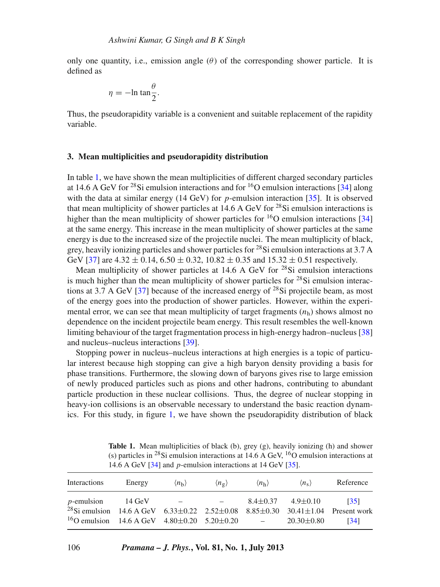only one quantity, i.e., emission angle  $(\theta)$  of the corresponding shower particle. It is defined as

$$
\eta = -\ln \tan \frac{\theta}{2}.
$$

Thus, the pseudorapidity variable is a convenient and suitable replacement of the rapidity variable.

## **3. Mean multiplicities and pseudorapidity distribution**

In table [1,](#page-3-0) we have shown the mean multiplicities of different charged secondary particles at 14.6 A GeV for <sup>28</sup>Si emulsion interactions and for <sup>16</sup>O emulsion interactions [\[34\]](#page-11-14) along with the data at similar energy (14 GeV) for *p*-emulsion interaction [\[35\]](#page-11-15). It is observed that mean multiplicity of shower particles at 14.6 A GeV for  $^{28}$ Si emulsion interactions is higher than the mean multiplicity of shower particles for  ${}^{16}O$  emulsion interactions [\[34\]](#page-11-14) at the same energy. This increase in the mean multiplicity of shower particles at the same energy is due to the increased size of the projectile nuclei. The mean multiplicity of black, grey, heavily ionizing particles and shower particles for <sup>28</sup>Si emulsion interactions at 3.7 A GeV [\[37\]](#page-11-17) are  $4.32 \pm 0.14$ ,  $6.50 \pm 0.32$ ,  $10.82 \pm 0.35$  and  $15.32 \pm 0.51$  respectively.

Mean multiplicity of shower particles at  $14.6$  A GeV for <sup>28</sup>Si emulsion interactions is much higher than the mean multiplicity of shower particles for  $^{28}$ Si emulsion interac-tions at 3.7 A GeV [\[37\]](#page-11-17) because of the increased energy of <sup>28</sup>Si projectile beam, as most of the energy goes into the production of shower particles. However, within the experimental error, we can see that mean multiplicity of target fragments  $(n_h)$  shows almost no dependence on the incident projectile beam energy. This result resembles the well-known limiting behaviour of the target fragmentation process in high-energy hadron–nucleus [\[38\]](#page-11-18) and nucleus–nucleus interactions [\[39](#page-11-19)].

Stopping power in nucleus–nucleus interactions at high energies is a topic of particular interest because high stopping can give a high baryon density providing a basis for phase transitions. Furthermore, the slowing down of baryons gives rise to large emission of newly produced particles such as pions and other hadrons, contributing to abundant particle production in these nuclear collisions. Thus, the degree of nuclear stopping in heavy-ion collisions is an observable necessary to understand the basic reaction dynamics. For this study, in figure [1,](#page-4-0) we have shown the pseudorapidity distribution of black

Table 1. Mean multiplicities of black (b), grey (g), heavily ionizing (h) and shower (s) particles in <sup>28</sup>Si emulsion interactions at 14.6 A GeV, <sup>16</sup>O emulsion interactions at 14.6 A GeV [\[34\]](#page-11-14) and *p*-emulsion interactions at 14 GeV [\[35\]](#page-11-15).

<span id="page-3-0"></span>

| Interactions                                                                                                                                                                                   | Energy | $\langle n_{\rm h} \rangle$         | $\langle n_{\sigma} \rangle$ | $\langle n_{\rm h} \rangle$       | $\langle n_{\rm s} \rangle$                       | Reference    |
|------------------------------------------------------------------------------------------------------------------------------------------------------------------------------------------------|--------|-------------------------------------|------------------------------|-----------------------------------|---------------------------------------------------|--------------|
| <i>p</i> -emulsion 14 GeV<br><sup>28</sup> Si emulsion 14.6 A GeV 6.33±0.22 2.52±0.08 8.85±0.30 30.41±1.04 Present work<br><sup>16</sup> O emulsion 14.6 A GeV 4.80 $\pm$ 0.20 5.20 $\pm$ 0.20 |        | the company's company's service and |                              | <b>Contract Contract Contract</b> | $8.4 \pm 0.37$ $4.9 \pm 0.10$<br>$20.30 \pm 0.80$ | [35]<br>[34] |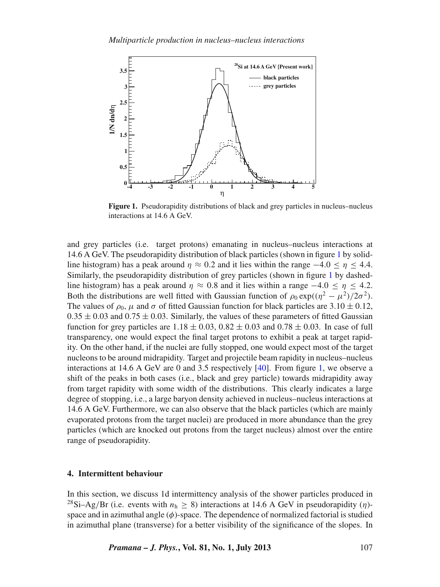<span id="page-4-0"></span>

**Figure 1.** Pseudorapidity distributions of black and grey particles in nucleus–nucleus interactions at 14.6 A GeV.

and grey particles (i.e. target protons) emanating in nucleus–nucleus interactions at 14.6 A GeV. The pseudorapidity distribution of black particles (shown in figure [1](#page-4-0) by solidline histogram) has a peak around  $\eta \approx 0.2$  and it lies within the range  $-4.0 \le \eta \le 4.4$ . Similarly, the pseudorapidity distribution of grey particles (shown in figure [1](#page-4-0) by dashedline histogram) has a peak around  $\eta \approx 0.8$  and it lies within a range  $-4.0 \le \eta \le 4.2$ . Both the distributions are well fitted with Gaussian function of  $\rho_0 \exp((\eta^2 - \mu^2)/2\sigma^2)$ . The values of  $\rho_0$ ,  $\mu$  and  $\sigma$  of fitted Gaussian function for black particles are 3.10  $\pm$  0.12,  $0.35 \pm 0.03$  and  $0.75 \pm 0.03$ . Similarly, the values of these parameters of fitted Gaussian function for grey particles are  $1.18 \pm 0.03$ ,  $0.82 \pm 0.03$  and  $0.78 \pm 0.03$ . In case of full transparency, one would expect the final target protons to exhibit a peak at target rapidity. On the other hand, if the nuclei are fully stopped, one would expect most of the target nucleons to be around midrapidity. Target and projectile beam rapidity in nucleus–nucleus interactions at 14.6 A GeV are 0 and 3.5 respectively  $[40]$ . From figure [1,](#page-4-0) we observe a shift of the peaks in both cases (i.e., black and grey particle) towards midrapidity away from target rapidity with some width of the distributions. This clearly indicates a large degree of stopping, i.e., a large baryon density achieved in nucleus–nucleus interactions at 14.6 A GeV. Furthermore, we can also observe that the black particles (which are mainly evaporated protons from the target nuclei) are produced in more abundance than the grey particles (which are knocked out protons from the target nucleus) almost over the entire range of pseudorapidity.

### **4. Intermittent behaviour**

In this section, we discuss 1d intermittency analysis of the shower particles produced in <sup>28</sup>Si–Ag/Br (i.e. events with  $n_h \ge 8$ ) interactions at 14.6 A GeV in pseudorapidity ( $\eta$ )space and in azimuthal angle  $(\phi)$ -space. The dependence of normalized factorial is studied in azimuthal plane (transverse) for a better visibility of the significance of the slopes. In

*Pramana – J. Phys.***, Vol. 81, No. 1, July 2013** 107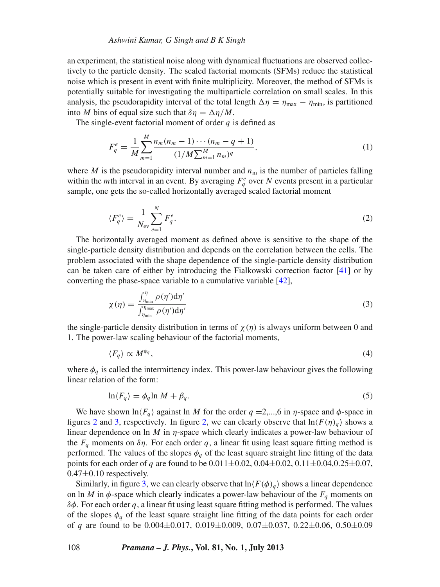an experiment, the statistical noise along with dynamical fluctuations are observed collectively to the particle density. The scaled factorial moments (SFMs) reduce the statistical noise which is present in event with finite multiplicity. Moreover, the method of SFMs is potentially suitable for investigating the multiparticle correlation on small scales. In this analysis, the pseudorapidity interval of the total length  $\Delta \eta = \eta_{\text{max}} - \eta_{\text{min}}$ , is partitioned into *M* bins of equal size such that  $\delta \eta = \Delta \eta / M$ .

The single-event factorial moment of order *q* is defined as

$$
F_q^e = \frac{1}{M} \sum_{m=1}^{M} \frac{n_m (n_m - 1) \cdots (n_m - q + 1)}{(1/M \sum_{m=1}^{M} n_m)^q},
$$
\n(1)

where *M* is the pseudorapidity interval number and  $n<sub>m</sub>$  is the number of particles falling within the *m*th interval in an event. By averaging  $F_q^e$  over *N* events present in a particular sample, one gets the so-called horizontally averaged scaled factorial moment

$$
\langle F_q^e \rangle = \frac{1}{N_{\rm ev}} \sum_{e=1}^N F_q^e. \tag{2}
$$

The horizontally averaged moment as defined above is sensitive to the shape of the single-particle density distribution and depends on the correlation between the cells. The problem associated with the shape dependence of the single-particle density distribution can be taken care of either by introducing the Fialkowski correction factor [\[41](#page-11-21)] or by converting the phase-space variable to a cumulative variable [\[42](#page-11-22)],

$$
\chi(\eta) = \frac{\int_{\eta_{\min}}^{\eta} \rho(\eta') d\eta'}{\int_{\eta_{\min}}^{\eta_{\max}} \rho(\eta') d\eta'}
$$
\n(3)

the single-particle density distribution in terms of  $\chi(\eta)$  is always uniform between 0 and 1. The power-law scaling behaviour of the factorial moments,

$$
\langle F_q \rangle \propto M^{\phi_q},\tag{4}
$$

where  $\phi_q$  is called the intermittency index. This power-law behaviour gives the following linear relation of the form:

$$
\ln \langle F_q \rangle = \phi_q \ln M + \beta_q. \tag{5}
$$

We have shown  $\ln \langle F_q \rangle$  against ln *M* for the order  $q = 2,...,6$  in *η*-space and  $\phi$ -space in figures [2](#page-6-0) and [3,](#page-6-1) respectively. In figure [2,](#page-6-0) we can clearly observe that  $\ln\left(\frac{F(\eta)}{q}\right)$  shows a linear dependence on ln *M* in η-space which clearly indicates a power-law behaviour of the  $F_q$  moments on  $\delta\eta$ . For each order q, a linear fit using least square fitting method is performed. The values of the slopes  $\phi_q$  of the least square straight line fitting of the data points for each order of *q* are found to be  $0.011 \pm 0.02$ ,  $0.04 \pm 0.02$ ,  $0.11 \pm 0.04$ ,  $0.25 \pm 0.07$ ,  $0.47\pm0.10$  respectively.

Similarly, in figure [3,](#page-6-1) we can clearly observe that  $\ln\{F(\phi)_q\}$  shows a linear dependence on ln *M* in  $\phi$ -space which clearly indicates a power-law behaviour of the  $F_q$  moments on  $\delta\phi$ . For each order q, a linear fit using least square fitting method is performed. The values of the slopes  $\phi_q$  of the least square straight line fitting of the data points for each order of *q* are found to be 0.004±0.017, 0.019±0.009, 0.07±0.037, 0.22±0.06, 0.50±0.09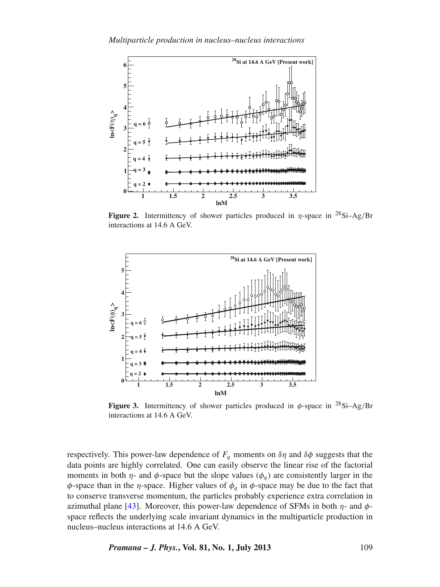<span id="page-6-0"></span>

**Figure 2.** Intermittency of shower particles produced in  $\eta$ -space in <sup>28</sup>Si–Ag/Br interactions at 14.6 A GeV.

<span id="page-6-1"></span>

**Figure 3.** Intermittency of shower particles produced in  $\phi$ -space in <sup>28</sup>Si-Ag/Br interactions at 14.6 A GeV.

respectively. This power-law dependence of  $F_q$  moments on  $\delta\eta$  and  $\delta\phi$  suggests that the data points are highly correlated. One can easily observe the linear rise of the factorial moments in both  $\eta$ - and  $\phi$ -space but the slope values  $(\phi_q)$  are consistently larger in the  $\phi$ -space than in the *η*-space. Higher values of  $\phi_q$  in  $\phi$ -space may be due to the fact that to conserve transverse momentum, the particles probably experience extra correlation in azimuthal plane [\[43\]](#page-11-23). Moreover, this power-law dependence of SFMs in both  $\eta$ - and  $\phi$ space reflects the underlying scale invariant dynamics in the multiparticle production in nucleus–nucleus interactions at 14.6 A GeV.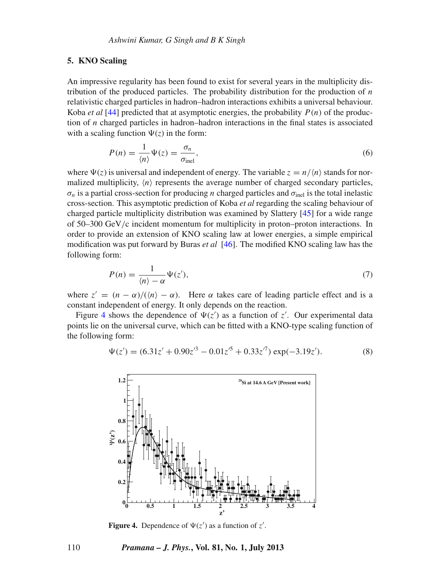#### **5. KNO Scaling**

An impressive regularity has been found to exist for several years in the multiplicity distribution of the produced particles. The probability distribution for the production of *n* relativistic charged particles in hadron–hadron interactions exhibits a universal behaviour. Koba *et al* [\[44\]](#page-11-24) predicted that at asymptotic energies, the probability  $P(n)$  of the production of *n* charged particles in hadron–hadron interactions in the final states is associated with a scaling function  $\Psi(z)$  in the form:

$$
P(n) = \frac{1}{\langle n \rangle} \Psi(z) = \frac{\sigma_n}{\sigma_{\text{inel}}},\tag{6}
$$

where  $\Psi(z)$  is universal and independent of energy. The variable  $z = n/(n)$  stands for normalized multiplicity,  $\langle n \rangle$  represents the average number of charged secondary particles,  $\sigma_n$  is a partial cross-section for producing *n* charged particles and  $\sigma_{\text{inel}}$  is the total inelastic cross-section. This asymptotic prediction of Koba *et al* regarding the scaling behaviour of charged particle multiplicity distribution was examined by Slattery [\[45\]](#page-11-25) for a wide range of 50–300 GeV/c incident momentum for multiplicity in proton–proton interactions. In order to provide an extension of KNO scaling law at lower energies, a simple empirical modification was put forward by Buras *et al* [\[46\]](#page-11-26). The modified KNO scaling law has the following form:

$$
P(n) = \frac{1}{\langle n \rangle - \alpha} \Psi(z'),\tag{7}
$$

where  $z' = (n - \alpha) / ((n - \alpha)$ . Here  $\alpha$  takes care of leading particle effect and is a constant independent of energy. It only depends on the reaction.

Figure [4](#page-7-0) shows the dependence of  $\Psi(z')$  as a function of  $z'$ . Our experimental data points lie on the universal curve, which can be fitted with a KNO-type scaling function of the following form:

$$
\Psi(z') = (6.31z' + 0.90z'^3 - 0.01z'^5 + 0.33z'^7) \exp(-3.19z').
$$
 (8)

<span id="page-7-0"></span>

**Figure 4.** Dependence of  $\Psi(z')$  as a function of  $z'$ .

### 110 *Pramana – J. Phys.***, Vol. 81, No. 1, July 2013**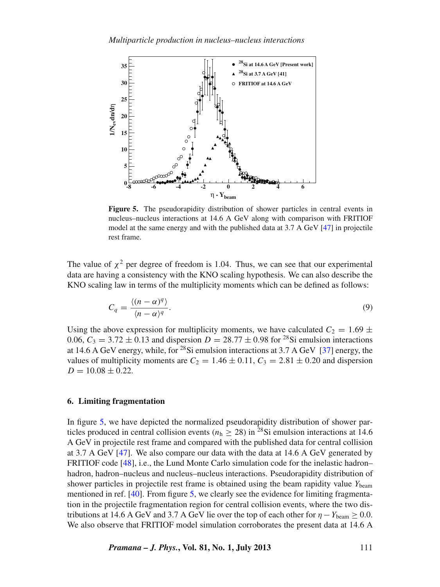<span id="page-8-0"></span>

**Figure 5.** The pseudorapidity distribution of shower particles in central events in nucleus–nucleus interactions at 14.6 A GeV along with comparison with FRITIOF model at the same energy and with the published data at 3.7 A GeV [\[47\]](#page-12-0) in projectile rest frame.

The value of  $\chi^2$  per degree of freedom is 1.04. Thus, we can see that our experimental data are having a consistency with the KNO scaling hypothesis. We can also describe the KNO scaling law in terms of the multiplicity moments which can be defined as follows:

$$
C_q = \frac{\langle (n-\alpha)^q \rangle}{\langle n-\alpha \rangle^q}.
$$
\n(9)

Using the above expression for multiplicity moments, we have calculated  $C_2 = 1.69 \pm 1.69$ 0.06,  $C_3 = 3.72 \pm 0.13$  and dispersion  $D = 28.77 \pm 0.98$  for <sup>28</sup>Si emulsion interactions at 14.6 A GeV energy, while, for  $^{28}$ Si emulsion interactions at 3.7 A GeV [\[37\]](#page-11-17) energy, the values of multiplicity moments are  $C_2 = 1.46 \pm 0.11$ ,  $C_3 = 2.81 \pm 0.20$  and dispersion  $D = 10.08 \pm 0.22$ .

## **6. Limiting fragmentation**

In figure [5,](#page-8-0) we have depicted the normalized pseudorapidity distribution of shower particles produced in central collision events ( $n_h \ge 28$ ) in <sup>28</sup>Si emulsion interactions at 14.6 A GeV in projectile rest frame and compared with the published data for central collision at 3.7 A GeV [\[47\]](#page-12-0). We also compare our data with the data at 14.6 A GeV generated by FRITIOF code [\[48\]](#page-12-1), i.e., the Lund Monte Carlo simulation code for the inelastic hadron– hadron, hadron–nucleus and nucleus–nucleus interactions. Pseudorapidity distribution of shower particles in projectile rest frame is obtained using the beam rapidity value *Y*beam mentioned in ref. [\[40\]](#page-11-20). From figure [5,](#page-8-0) we clearly see the evidence for limiting fragmentation in the projectile fragmentation region for central collision events, where the two distributions at 14.6 A GeV and 3.7 A GeV lie over the top of each other for  $\eta - Y_{\text{beam}} \geq 0.0$ . We also observe that FRITIOF model simulation corroborates the present data at 14.6 A

*Pramana – J. Phys.***, Vol. 81, No. 1, July 2013** 111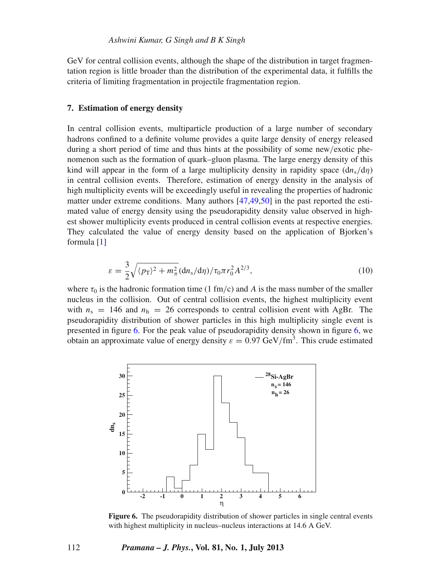GeV for central collision events, although the shape of the distribution in target fragmentation region is little broader than the distribution of the experimental data, it fulfills the criteria of limiting fragmentation in projectile fragmentation region.

## **7. Estimation of energy density**

In central collision events, multiparticle production of a large number of secondary hadrons confined to a definite volume provides a quite large density of energy released during a short period of time and thus hints at the possibility of some new/exotic phenomenon such as the formation of quark–gluon plasma. The large energy density of this kind will appear in the form of a large multiplicity density in rapidity space  $\left(\frac{dn_s}{d\eta}\right)$ in central collision events. Therefore, estimation of energy density in the analysis of high multiplicity events will be exceedingly useful in revealing the properties of hadronic matter under extreme conditions. Many authors [\[47](#page-12-0)[,49](#page-12-2)[,50](#page-12-3)] in the past reported the estimated value of energy density using the pseudorapidity density value observed in highest shower multiplicity events produced in central collision events at respective energies. They calculated the value of energy density based on the application of Bjorken's formula [\[1](#page-11-0)]

$$
\varepsilon = \frac{3}{2} \sqrt{\langle p_{\rm T} \rangle^2 + m_{\pi}^2} (\mathrm{d}n_{\rm s}/\mathrm{d}\eta) / \tau_0 \pi r_0^2 A^{2/3},\tag{10}
$$

where  $\tau_0$  is the hadronic formation time (1 fm/c) and *A* is the mass number of the smaller nucleus in the collision. Out of central collision events, the highest multiplicity event with  $n_s = 146$  and  $n_h = 26$  corresponds to central collision event with AgBr. The pseudorapidity distribution of shower particles in this high multiplicity single event is presented in figure [6.](#page-9-0) For the peak value of pseudorapidity density shown in figure [6,](#page-9-0) we obtain an approximate value of energy density  $\varepsilon = 0.97 \text{ GeV/fm}^3$ . This crude estimated

<span id="page-9-0"></span>

**Figure 6.** The pseudorapidity distribution of shower particles in single central events with highest multiplicity in nucleus–nucleus interactions at 14.6 A GeV.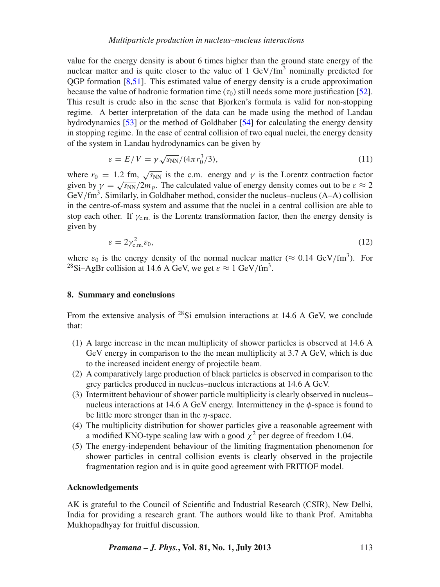value for the energy density is about 6 times higher than the ground state energy of the nuclear matter and is quite closer to the value of  $1 \text{ GeV}/\text{fm}^3$  nominally predicted for QGP formation [\[8](#page-11-4)[,51\]](#page-12-4). This estimated value of energy density is a crude approximation because the value of hadronic formation time  $(\tau_0)$  still needs some more justification [\[52](#page-12-5)]. This result is crude also in the sense that Bjorken's formula is valid for non-stopping regime. A better interpretation of the data can be made using the method of Landau hydrodynamics [\[53\]](#page-12-6) or the method of Goldhaber [\[54\]](#page-12-7) for calculating the energy density in stopping regime. In the case of central collision of two equal nuclei, the energy density of the system in Landau hydrodynamics can be given by

$$
\varepsilon = E/V = \gamma \sqrt{s_{NN}}/(4\pi r_0^3/3),\tag{11}
$$

where  $r_0 = 1.2$  fm,  $\sqrt{s_{NN}}$  is the c.m. energy and  $\gamma$  is the Lorentz contraction factor given by  $\gamma = \sqrt{s_{NN}}/2m_p$ . The calculated value of energy density comes out to be  $\varepsilon \approx 2$ GeV/fm<sup>3</sup>. Similarly, in Goldhaber method, consider the nucleus–nucleus (A–A) collision in the centre-of-mass system and assume that the nuclei in a central collision are able to stop each other. If  $\gamma_{\rm c.m.}$  is the Lorentz transformation factor, then the energy density is given by

$$
\varepsilon = 2\gamma_{\text{c.m.}}^2 \varepsilon_0,\tag{12}
$$

where  $\varepsilon_0$  is the energy density of the normal nuclear matter ( $\approx 0.14 \text{ GeV/fm}^3$ ). For <sup>28</sup>Si–AgBr collision at 14.6 A GeV, we get  $\varepsilon \approx 1$  GeV/fm<sup>3</sup>.

## **8. Summary and conclusions**

From the extensive analysis of  $^{28}Si$  emulsion interactions at 14.6 A GeV, we conclude that:

- (1) A large increase in the mean multiplicity of shower particles is observed at 14.6 A GeV energy in comparison to the the mean multiplicity at 3.7 A GeV, which is due to the increased incident energy of projectile beam.
- (2) A comparatively large production of black particles is observed in comparison to the grey particles produced in nucleus–nucleus interactions at 14.6 A GeV.
- (3) Intermittent behaviour of shower particle multiplicity is clearly observed in nucleus– nucleus interactions at 14.6 A GeV energy. Intermittency in the  $\phi$ -space is found to be little more stronger than in the  $\eta$ -space.
- (4) The multiplicity distribution for shower particles give a reasonable agreement with a modified KNO-type scaling law with a good  $\chi^2$  per degree of freedom 1.04.
- (5) The energy-independent behaviour of the limiting fragmentation phenomenon for shower particles in central collision events is clearly observed in the projectile fragmentation region and is in quite good agreement with FRITIOF model.

#### **Acknowledgements**

AK is grateful to the Council of Scientific and Industrial Research (CSIR), New Delhi, India for providing a research grant. The authors would like to thank Prof. Amitabha Mukhopadhyay for fruitful discussion.

*Pramana – J. Phys.***, Vol. 81, No. 1, July 2013** 113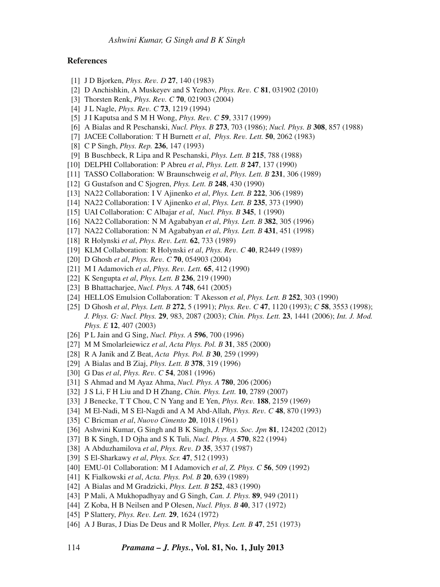### **References**

- <span id="page-11-0"></span>[1] J D Bjorken, *Phys. Re*v*. D* **27**, 140 (1983)
- [2] D Anchishkin, A Muskeyev and S Yezhov, *Phys. Re*v*. C* **81**, 031902 (2010)
- [3] Thorsten Renk, *Phys. Re*v*. C* **70**, 021903 (2004)
- [4] J L Nagle, *Phys. Re*v*. C* **73**, 1219 (1994)
- <span id="page-11-1"></span>[5] J I Kaputsa and S M H Wong, *Phys. Re*v*. C* **59**, 3317 (1999)
- <span id="page-11-2"></span>[6] A Bialas and R Peschanski, *Nucl. Phys. B* **273**, 703 (1986); *Nucl. Phys. B* **308**, 857 (1988)
- <span id="page-11-3"></span>[7] JACEE Collaboration: T H Burnett *et al*, *Phys. Re*v*. Lett.* **50**, 2062 (1983)
- <span id="page-11-4"></span>[8] C P Singh, *Phys. Rep.* **236**, 147 (1993)
- <span id="page-11-5"></span>[9] B Buschbeck, R Lipa and R Peschanski, *Phys. Lett. B* **215**, 788 (1988)
- [10] DELPHI Collaboration: P Abreu *et al*, *Phys. Lett. B* **247**, 137 (1990)
- [11] TASSO Collaboration: W Braunschweig *et al*, *Phys. Lett. B* **231**, 306 (1989)
- <span id="page-11-6"></span>[12] G Gustafson and C Sjogren, *Phys. Lett. B* **248**, 430 (1990)
- <span id="page-11-7"></span>[13] NA22 Collaboration: I V Ajinenko *et al*, *Phys. Lett. B* **222**, 306 (1989)
- [14] NA22 Collaboration: I V Ajinenko *et al*, *Phys. Lett. B* **235**, 373 (1990)
- [15] UAI Collaboration: C Albajar *et al*, *Nucl. Phys. B* **345**, 1 (1990)
- [16] NA22 Collaboration: N M Agababyan *et al*, *Phys. Lett. B* **382**, 305 (1996)
- <span id="page-11-8"></span>[17] NA22 Collaboration: N M Agababyan *et al*, *Phys. Lett. B* **431**, 451 (1998)
- <span id="page-11-9"></span>[18] R Holynski *et al*, *Phys. Re*v*. Lett.* **62**, 733 (1989)
- [19] KLM Collaboration: R Holynski *et al*, *Phys. Re*v*. C* **40**, R2449 (1989)
- <span id="page-11-10"></span>[20] D Ghosh *et al*, *Phys. Re*v*. C* **70**, 054903 (2004)
- <span id="page-11-11"></span>[21] M I Adamovich *et al*, *Phys. Re*v*. Lett.* **65**, 412 (1990)
- [22] K Sengupta *et al*, *Phys. Lett. B* **236**, 219 (1990)
- [23] B Bhattacharjee, *Nucl. Phys. A* **748**, 641 (2005)
- [24] HELLOS Emulsion Collaboration: T Akesson *et al*, *Phys. Lett. B* **252**, 303 (1990)
- [25] D Ghosh *et al*, *Phys. Lett. B* **272**, 5 (1991); *Phys. Re*v*. C* **47**, 1120 (1993); *C* **58**, 3553 (1998); *J. Phys. G: Nucl. Phys.* **29**, 983, 2087 (2003); *Chin. Phys. Lett.* **23**, 1441 (2006); *Int. J. Mod. Phys. E* **12**, 407 (2003)
- [26] P L Jain and G Sing, *Nucl. Phys. A* **596**, 700 (1996)
- [27] M M Smolarleiewicz *et al*, *Acta Phys. Pol. B* **31**, 385 (2000)
- [28] R A Janik and Z Beat, *Acta Phys. Pol. B* **30**, 259 (1999)
- [29] A Bialas and B Ziaj, *Phys. Lett. B* **378**, 319 (1996)
- [30] G Das *et al*, *Phys. Re*v*. C* **54**, 2081 (1996)
- [31] S Ahmad and M Ayaz Ahma, *Nucl. Phys. A* **780**, 206 (2006)
- <span id="page-11-12"></span>[32] J S Li, F H Liu and D H Zhang, *Chin. Phys. Lett.* **10**, 2789 (2007)
- <span id="page-11-13"></span>[33] J Benecke, T T Chou, C N Yang and E Yen, *Phys. Re*v*.* **188**, 2159 (1969)
- <span id="page-11-14"></span>[34] M El-Nadi, M S El-Nagdi and A M Abd-Allah, *Phys. Re*v*. C* **48**, 870 (1993)
- <span id="page-11-15"></span>[35] C Bricman *et al*, *Nuo*v*o Cimento* **20**, 1018 (1961)
- <span id="page-11-16"></span>[36] Ashwini Kumar, G Singh and B K Singh, *J. Phys. Soc. Jpn* **81**, 124202 (2012)
- <span id="page-11-17"></span>[37] B K Singh, I D Ojha and S K Tuli, *Nucl. Phys. A* **570**, 822 (1994)
- <span id="page-11-18"></span>[38] A Abduzhamilova *et al*, *Phys. Re*v*. D* **35**, 3537 (1987)
- <span id="page-11-19"></span>[39] S El-Sharkawy *et al*, *Phys. Scr.* **47**, 512 (1993)
- <span id="page-11-20"></span>[40] EMU-01 Collaboration: M I Adamovich *et al*, *Z. Phys. C* **56**, 509 (1992)
- <span id="page-11-21"></span>[41] K Fialkowski *et al*, *Acta. Phys. Pol. B* **20**, 639 (1989)
- <span id="page-11-22"></span>[42] A Bialas and M Gradzicki, *Phys. Lett. B* **252**, 483 (1990)
- <span id="page-11-23"></span>[43] P Mali, A Mukhopadhyay and G Singh, *Can. J. Phys.* **89**, 949 (2011)
- <span id="page-11-24"></span>[44] Z Koba, H B Neilsen and P Olesen, *Nucl. Phys. B* **40**, 317 (1972)
- <span id="page-11-25"></span>[45] P Slattery, *Phys. Re*v*. Lett.* **29**, 1624 (1972)
- <span id="page-11-26"></span>[46] A J Buras, J Dias De Deus and R Moller, *Phys. Lett. B* **47**, 251 (1973)